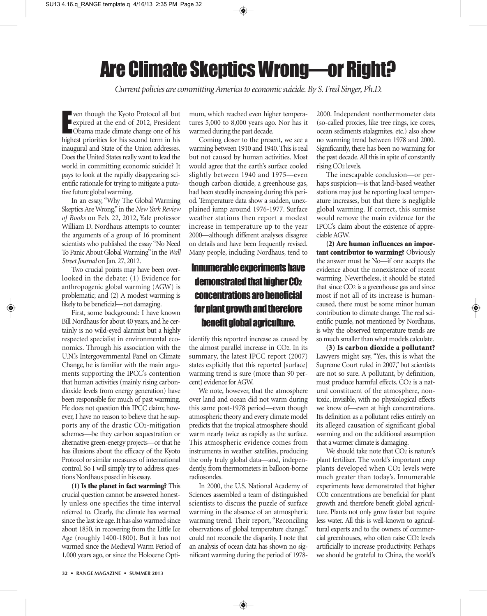## Are Climate Skeptics Wrong—or Right?

*Current policies are committing America to economic suicide. By S. Fred Singer, Ph.D.*

E ven though the Kyoto Protocol all but expired at the end of 2012, President Obama made climate change one of his highest priorities for his second term in his inaugural and State of the Union addresses. Does the United States really want to lead the world in committing economic suicide? It pays to look at the rapidly disappearing scientific rationale for trying to mitigate a putative future global warming.

In an essay, "Why The Global Warming Skeptics Are Wrong," in the *New York Review of Books* on Feb. 22, 2012, Yale professor William D. Nordhaus attempts to counter the arguments of a group of 16 prominent scientists who published the essay "No Need To Panic About Global Warming" in the *Wall Street Journal* on Jan. 27, 2012.

Two crucial points may have been overlooked in the debate: (1) Evidence for anthropogenic global warming (AGW) is problematic; and (2) A modest warming is likely to be beneficial—not damaging.

First, some background: I have known Bill Nordhaus for about 40 years, and he certainly is no wild-eyed alarmist but a highly respected specialist in environmental economics. Through his association with the U.N.'s Intergovernmental Panel on Climate Change, he is familiar with the main arguments supporting the IPCC's contention that human activities (mainly rising carbondioxide levels from energy generation) have been responsible for much of past warming. He does not question this IPCC claim; however, I have no reason to believe that he supports any of the drastic CO2-mitigation schemes—be they carbon sequestration or alternative green-energy projects—or that he has illusions about the efficacy of the Kyoto Protocol or similar measures of international control. So I will simply try to address questions Nordhaus posed in his essay.

**(1) Is the planet in fact warming?** This crucial question cannot be answered honestly unless one specifies the time interval referred to. Clearly, the climate has warmed since the last ice age. It has also warmed since about 1850, in recovering from the Little Ice Age (roughly 1400-1800). But it has not warmed since the Medieval Warm Period of 1,000 years ago, or since the Holocene Optimum, which reached even higher temperatures 5,000 to 8,000 years ago. Nor has it warmed during the past decade.

Coming closer to the present, we see a warming between 1910 and 1940. This is real but not caused by human activities. Most would agree that the earth's surface cooled slightly between 1940 and 1975—even though carbon dioxide, a greenhouse gas, had been steadily increasing during this period. Temperature data show a sudden, unexplained jump around 1976-1977. Surface weather stations then report a modest increase in temperature up to the year 2000—although different analyses disagree on details and have been frequently revised. Many people, including Nordhaus, tend to

## Innumerable experiments have demonstrated that higher CO2 concentrations are beneficial for plant growth and therefore benefit global agriculture.

identify this reported increase as caused by the almost parallel increase in CO2. In its summary, the latest IPCC report (2007) states explicitly that this reported [surface] warming trend is sure (more than 90 percent) evidence for AGW.

We note, however, that the atmosphere over land and ocean did not warm during this same post-1978 period—even though atmospheric theory and every climate model predicts that the tropical atmosphere should warm nearly twice as rapidly as the surface. This atmospheric evidence comes from instruments in weather satellites, producing the only truly global data—and, independently, from thermometers in balloon-borne radiosondes.

In 2000, the U.S. National Academy of Sciences assembled a team of distinguished scientists to discuss the puzzle of surface warming in the absence of an atmospheric warming trend. Their report, "Reconciling observations of global temperature change," could not reconcile the disparity. I note that an analysis of ocean data has shown no significant warming during the period of 19782000. Independent nonthermometer data (so-called proxies, like tree rings, ice cores, ocean sediments stalagmites, etc.) also show no warming trend between 1978 and 2000. Significantly, there has been no warming for the past decade. All this in spite of constantly rising CO2 levels.

The inescapable conclusion—or perhaps suspicion—is that land-based weather stations may just be reporting local temperature increases, but that there is negligible global warming. If correct, this surmise would remove the main evidence for the IPCC's claim about the existence of appreciable AGW.

**(2) Are human influences an important contributor to warming?** Obviously the answer must be No—if one accepts the evidence about the nonexistence of recent warming. Nevertheless, it should be stated that since CO2 is a greenhouse gas and since most if not all of its increase is humancaused, there must be some minor human contribution to climate change. The real scientific puzzle, not mentioned by Nordhaus, is why the observed temperature trends are so much smaller than what models calculate.

**(3) Is carbon dioxide a pollutant?** Lawyers might say, "Yes, this is what the Supreme Court ruled in 2007," but scientists are not so sure. A pollutant, by definition, must produce harmful effects. CO2 is a natural constituent of the atmosphere, nontoxic, invisible, with no physiological effects we know of—even at high concentrations. Its definition as a pollutant relies entirely on its alleged causation of significant global warming and on the additional assumption that a warmer climate is damaging.

We should take note that CO<sub>2</sub> is nature's plant fertilizer. The world's important crop plants developed when CO2 levels were much greater than today's. Innumerable experiments have demonstrated that higher CO2 concentrations are beneficial for plant growth and therefore benefit global agriculture. Plants not only grow faster but require less water. All this is well-known to agricultural experts and to the owners of commercial greenhouses, who often raise CO2 levels artificially to increase productivity. Perhaps we should be grateful to China, the world's